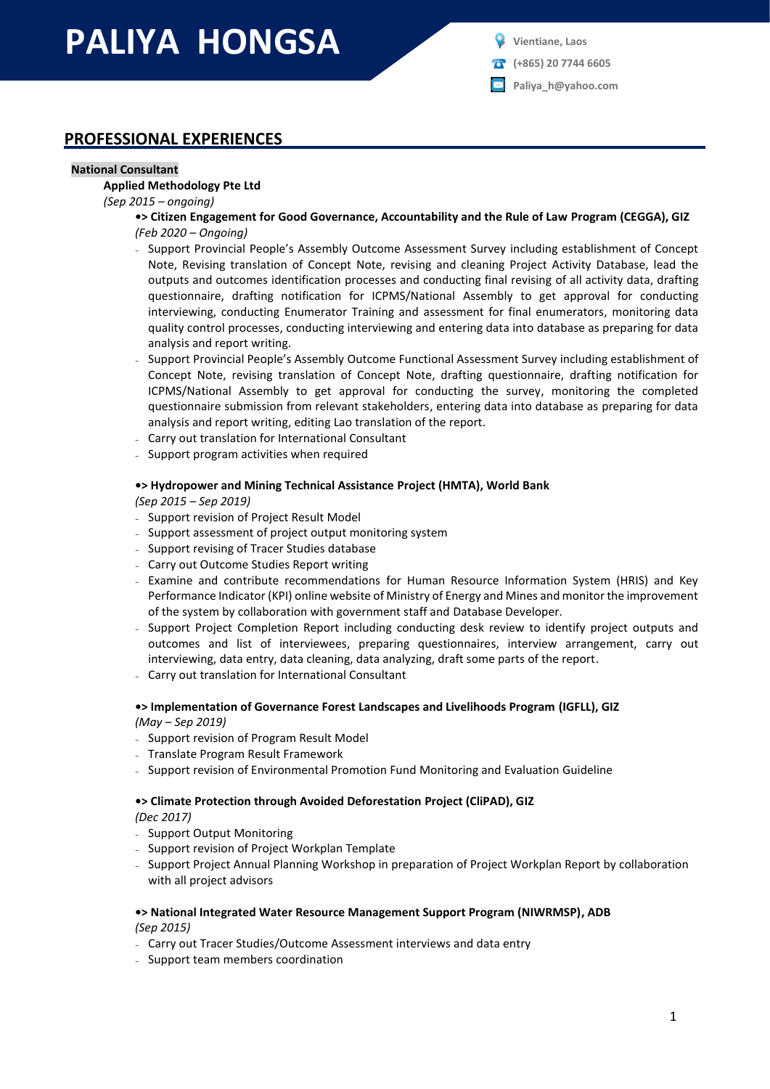# **PALIYA HONGSA**

**(+865) 20 7744 6605**

**Paliya\_h@yahoo.com**

## **PROFESSIONAL EXPERIENCES**

#### **National Consultant**

#### **Applied Methodology Pte Ltd**

*(Sep 2015 – ongoing)*

**•> Citizen Engagement for Good Governance, Accountability and the Rule of Law Program (CEGGA), GIZ** *(Feb 2020 – Ongoing)*

- Support Provincial People's Assembly Outcome Assessment Survey including establishment of Concept Note, Revising translation of Concept Note, revising and cleaning Project Activity Database, lead the outputs and outcomes identification processes and conducting final revising of all activity data, drafting questionnaire, drafting notification for ICPMS/National Assembly to get approval for conducting interviewing, conducting Enumerator Training and assessment for final enumerators, monitoring data quality control processes, conducting interviewing and entering data into database as preparing for data analysis and report writing.
- Support Provincial People's Assembly Outcome Functional Assessment Survey including establishment of Concept Note, revising translation of Concept Note, drafting questionnaire, drafting notification for ICPMS/National Assembly to get approval for conducting the survey, monitoring the completed questionnaire submission from relevant stakeholders, entering data into database as preparing for data analysis and report writing, editing Lao translation of the report.
- Carry out translation for International Consultant
- Support program activities when required

## **•> Hydropower and Mining Technical Assistance Project (HMTA), World Bank**

*(Sep 2015 – Sep 2019)*

- Support revision of Project Result Model
- Support assessment of project output monitoring system
- Support revising of Tracer Studies database
- Carry out Outcome Studies Report writing
- Examine and contribute recommendations for Human Resource Information System (HRIS) and Key Performance Indicator (KPI) online website of Ministry of Energy and Mines and monitor the improvement of the system by collaboration with government staff and Database Developer.
- Support Project Completion Report including conducting desk review to identify project outputs and outcomes and list of interviewees, preparing questionnaires, interview arrangement, carry out interviewing, data entry, data cleaning, data analyzing, draft some parts of the report.
- Carry out translation for International Consultant

#### **•> Implementation of Governance Forest Landscapes and Livelihoods Program (IGFLL), GIZ** *(May – Sep 2019)*

- Support revision of Program Result Model
- Translate Program Result Framework
- Support revision of Environmental Promotion Fund Monitoring and Evaluation Guideline

#### **•> Climate Protection through Avoided Deforestation Project (CliPAD), GIZ**

*(Dec 2017)*

- Support Output Monitoring
- Support revision of Project Workplan Template
- Support Project Annual Planning Workshop in preparation of Project Workplan Report by collaboration with all project advisors

#### **•> National Integrated Water Resource Management Support Program (NIWRMSP), ADB** *(Sep 2015)*

- Carry out Tracer Studies/Outcome Assessment interviews and data entry
- Support team members coordination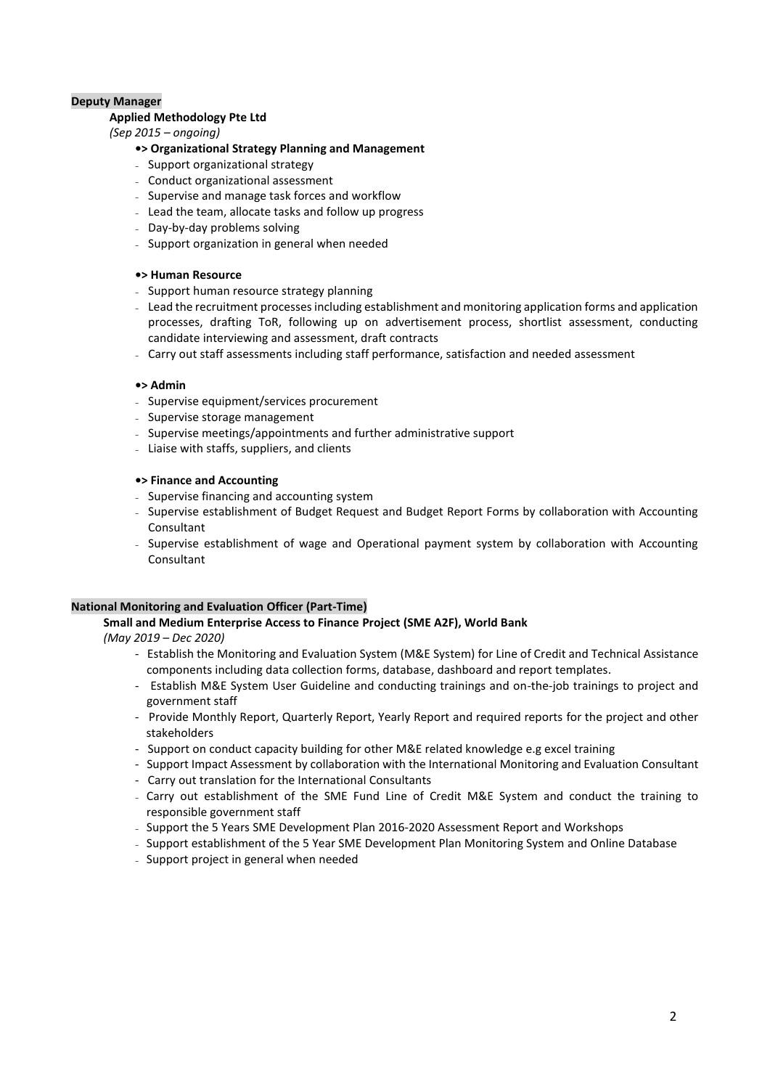#### **Deputy Manager**

#### **Applied Methodology Pte Ltd**

#### *(Sep 2015 – ongoing)*

#### **•> Organizational Strategy Planning and Management**

- Support organizational strategy
- Conduct organizational assessment
- Supervise and manage task forces and workflow
- Lead the team, allocate tasks and follow up progress
- Day-by-day problems solving
- Support organization in general when needed

#### **•> Human Resource**

- Support human resource strategy planning
- Lead the recruitment processes including establishment and monitoring application forms and application processes, drafting ToR, following up on advertisement process, shortlist assessment, conducting candidate interviewing and assessment, draft contracts
- Carry out staff assessments including staff performance, satisfaction and needed assessment

#### **•> Admin**

- Supervise equipment/services procurement
- Supervise storage management
- Supervise meetings/appointments and further administrative support
- Liaise with staffs, suppliers, and clients

#### **•> Finance and Accounting**

- Supervise financing and accounting system
- Supervise establishment of Budget Request and Budget Report Forms by collaboration with Accounting Consultant
- Supervise establishment of wage and Operational payment system by collaboration with Accounting Consultant

#### **National Monitoring and Evaluation Officer (Part-Time)**

## **Small and Medium Enterprise Access to Finance Project (SME A2F), World Bank**

*(May 2019 – Dec 2020)*

- Establish the Monitoring and Evaluation System (M&E System) for Line of Credit and Technical Assistance components including data collection forms, database, dashboard and report templates.
- Establish M&E System User Guideline and conducting trainings and on-the-job trainings to project and government staff
- Provide Monthly Report, Quarterly Report, Yearly Report and required reports for the project and other stakeholders
- Support on conduct capacity building for other M&E related knowledge e.g excel training
- Support Impact Assessment by collaboration with the International Monitoring and Evaluation Consultant
- Carry out translation for the International Consultants
- Carry out establishment of the SME Fund Line of Credit M&E System and conduct the training to responsible government staff
- Support the 5 Years SME Development Plan 2016-2020 Assessment Report and Workshops
- Support establishment of the 5 Year SME Development Plan Monitoring System and Online Database
- Support project in general when needed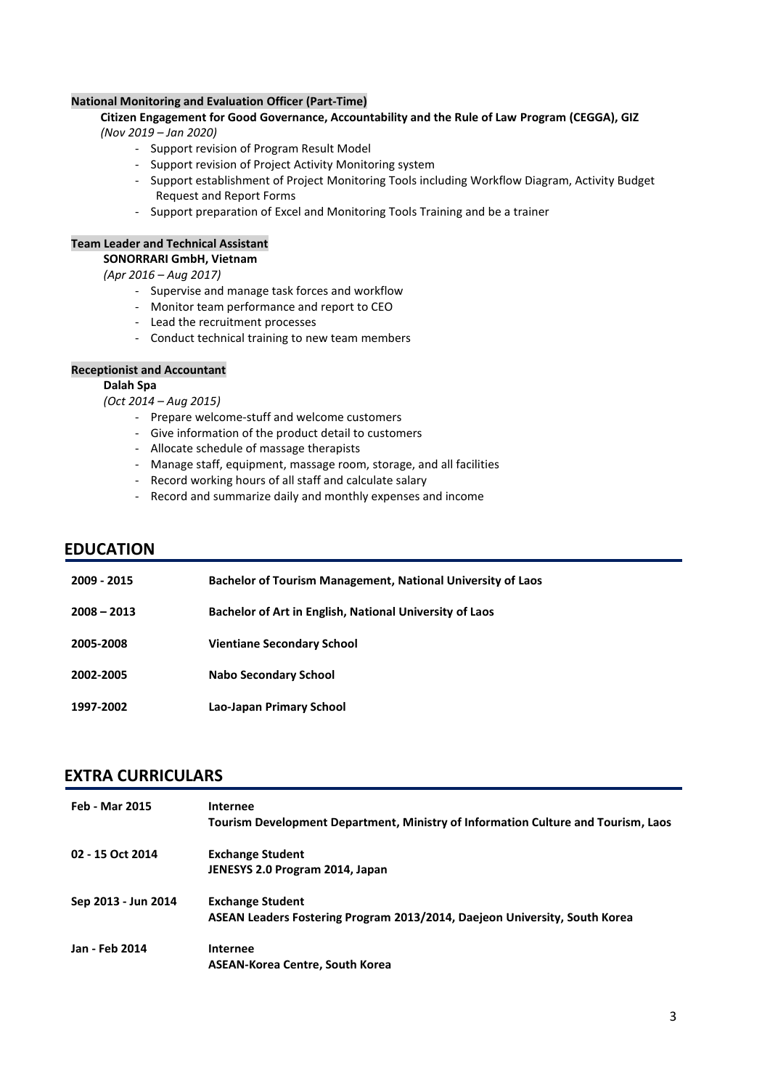#### **National Monitoring and Evaluation Officer (Part-Time)**

#### **Citizen Engagement for Good Governance, Accountability and the Rule of Law Program (CEGGA), GIZ** *(Nov 2019 – Jan 2020)*

- Support revision of Program Result Model
- Support revision of Project Activity Monitoring system
- Support establishment of Project Monitoring Tools including Workflow Diagram, Activity Budget Request and Report Forms
- Support preparation of Excel and Monitoring Tools Training and be a trainer

#### **Team Leader and Technical Assistant**

#### **SONORRARI GmbH, Vietnam**

*(Apr 2016 – Aug 2017)*

- Supervise and manage task forces and workflow
- Monitor team performance and report to CEO
- Lead the recruitment processes
- Conduct technical training to new team members

#### **Receptionist and Accountant**

#### **Dalah Spa**

*(Oct 2014 – Aug 2015)*

- Prepare welcome-stuff and welcome customers
- Give information of the product detail to customers
- Allocate schedule of massage therapists
- Manage staff, equipment, massage room, storage, and all facilities
- Record working hours of all staff and calculate salary
- Record and summarize daily and monthly expenses and income

#### **EDUCATION**

| 2009 - 2015   | <b>Bachelor of Tourism Management, National University of Laos</b> |
|---------------|--------------------------------------------------------------------|
| $2008 - 2013$ | Bachelor of Art in English, National University of Laos            |
| 2005-2008     | <b>Vientiane Secondary School</b>                                  |
| 2002-2005     | Nabo Secondary School                                              |
| 1997-2002     | Lao-Japan Primary School                                           |

## **EXTRA CURRICULARS**

| <b>Feb - Mar 2015</b> | Internee                                                                          |
|-----------------------|-----------------------------------------------------------------------------------|
|                       | Tourism Development Department, Ministry of Information Culture and Tourism, Laos |
| 02 - 15 Oct 2014      | <b>Exchange Student</b>                                                           |
|                       | JENESYS 2.0 Program 2014, Japan                                                   |
| Sep 2013 - Jun 2014   | <b>Exchange Student</b>                                                           |
|                       | ASEAN Leaders Fostering Program 2013/2014, Daejeon University, South Korea        |
| Jan - Feb 2014        | Internee                                                                          |
|                       | <b>ASEAN-Korea Centre, South Korea</b>                                            |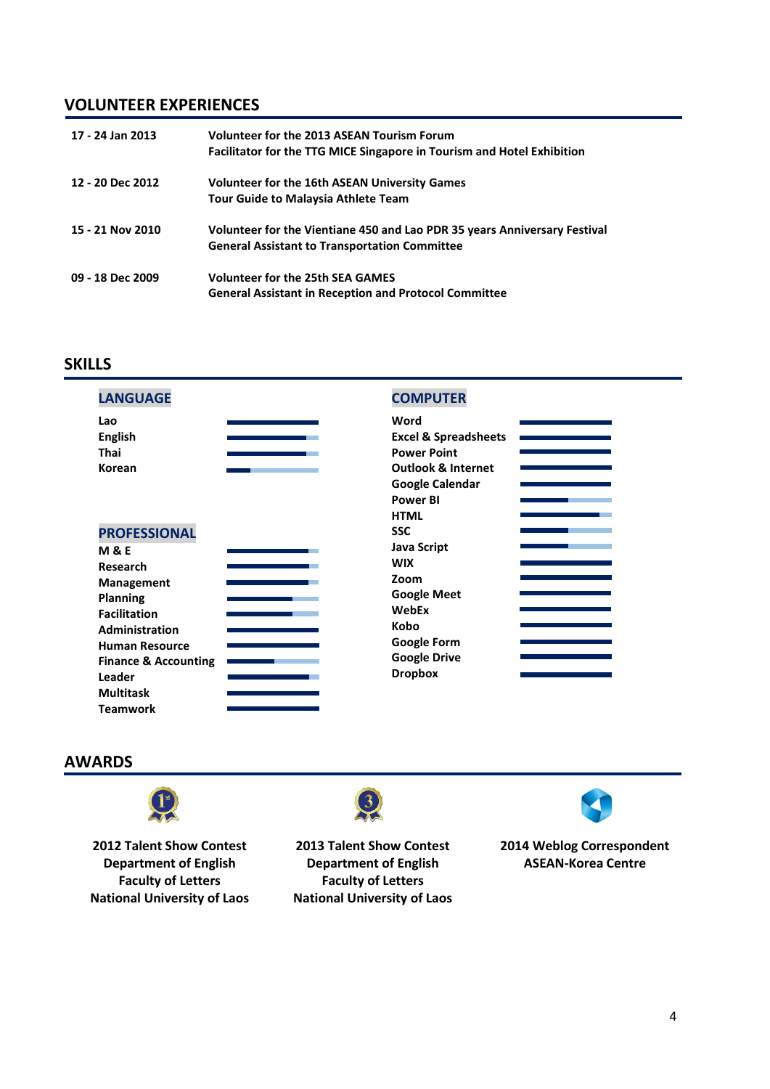## **VOLUNTEER EXPERIENCES**

| 17 - 24 Jan 2013 | Volunteer for the 2013 ASEAN Tourism Forum<br>Facilitator for the TTG MICE Singapore in Tourism and Hotel Exhibition              |
|------------------|-----------------------------------------------------------------------------------------------------------------------------------|
| 12 - 20 Dec 2012 | <b>Volunteer for the 16th ASEAN University Games</b><br><b>Tour Guide to Malaysia Athlete Team</b>                                |
| 15 - 21 Nov 2010 | Volunteer for the Vientiane 450 and Lao PDR 35 years Anniversary Festival<br><b>General Assistant to Transportation Committee</b> |
| 09 - 18 Dec 2009 | <b>Volunteer for the 25th SEA GAMES</b><br><b>General Assistant in Reception and Protocol Committee</b>                           |

## **SKILLS**

| <b>LANGUAGE</b>                 | <b>COMPUTER</b>                 |
|---------------------------------|---------------------------------|
| Lao                             | Word                            |
| <b>English</b>                  | <b>Excel &amp; Spreadsheets</b> |
| <b>Thai</b>                     | <b>Power Point</b>              |
| Korean                          | <b>Outlook &amp; Internet</b>   |
|                                 | <b>Google Calendar</b>          |
|                                 | <b>Power BI</b>                 |
|                                 | <b>HTML</b>                     |
| <b>PROFESSIONAL</b>             | <b>SSC</b>                      |
| <b>M&amp;E</b>                  | <b>Java Script</b>              |
| Research                        | <b>WIX</b>                      |
| <b>Management</b>               | Zoom                            |
| <b>Planning</b>                 | <b>Google Meet</b>              |
| <b>Facilitation</b>             | WebEx                           |
| Administration                  | Kobo                            |
| <b>Human Resource</b>           | <b>Google Form</b>              |
| <b>Finance &amp; Accounting</b> | <b>Google Drive</b>             |
| Leader                          | <b>Dropbox</b>                  |
| <b>Multitask</b>                |                                 |

## **AWARDS**

**Teamwork**



**2012 Talent Show Contest Department of English Faculty of Letters National University of Laos** **2013 Talent Show Contest Department of English Faculty of Letters**

3

**National University of Laos**



**2014 Weblog Correspondent ASEAN-Korea Centre**